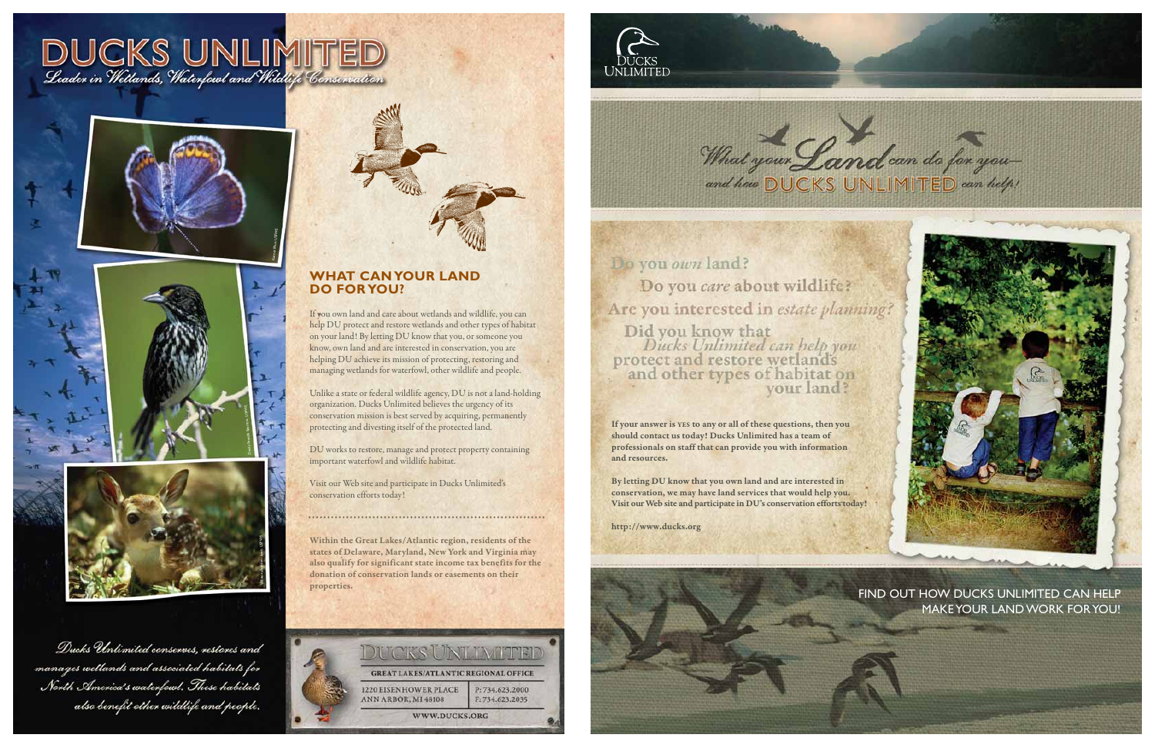#### **WHAT CAN YOUR LAND DO FOR YOU?**

If you own land and care about wetlands and wildlife, you can help DU protect and restore wetlands and other types of habitat on your land! By letting DU know that you, or someone you know, own land and are interested in conservation, you are helping DU achieve its mission of protecting, restoring and managing wetlands for waterfowl, other wildlife and people.

Unlike a state or federal wildlife agency, DU is not a land-holding organization. Ducks Unlimited believes the urgency of its conservation mission is best served by acquiring, permanently protecting and divesting itself of the protected land.

DU works to restore, manage and protect property containing important waterfowl and wildlife habitat.

Visit our Web site and participate in Ducks Unlimited's conservation efforts today!

Within the Great Lakes/Atlantic region, residents of the states of Delaware, Maryland, New York and Virginia may also qualify for significant state income tax benefits for the donation of conservation lands or easements on their







Do you own land? Do you care about wildlife? Are you interested in estate planning? Did you know that<br>Ducks Unlimited can help you protect and restore wetlands<br>and other types of habitat on



What your Land can do for you

## MAKE YOUR LAND WORK FOR YOU!

If your answer is YES to any or all of these questions, then you should contact us today! Ducks Unlimited has a team of professionals on staff that can provide you with information and resources.

By letting DU know that you own land and are interested in conservation, we may have land services that would help you. Visit our Web site and participate in DU's conservation efforts today!

http://www.ducks.org









Ducks Unlimited conserves, restores and manages wellands and associated habitats for North America's waterfowl. These habitals also benefit other wildlife and people.